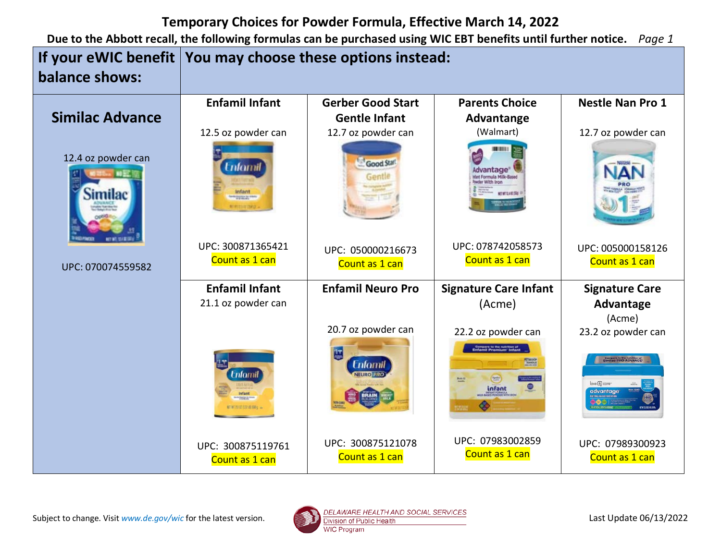|                               | If your eWIC benefit   You may choose these options instead: |                                     |                                                                                                       |                                                                                 |
|-------------------------------|--------------------------------------------------------------|-------------------------------------|-------------------------------------------------------------------------------------------------------|---------------------------------------------------------------------------------|
| balance shows:                |                                                              |                                     |                                                                                                       |                                                                                 |
|                               | <b>Enfamil Infant</b>                                        | <b>Gerber Good Start</b>            | <b>Parents Choice</b>                                                                                 | <b>Nestle Nan Pro 1</b>                                                         |
| <b>Similac Advance</b>        |                                                              | <b>Gentle Infant</b>                | Advantange                                                                                            |                                                                                 |
|                               | 12.5 oz powder can                                           | 12.7 oz powder can                  | (Walmart)                                                                                             | 12.7 oz powder can                                                              |
| 12.4 oz powder can<br>Similac | tnfamil<br><b>Party Street, Britain</b>                      | Good Start                          | Advantage <sup>®</sup><br>wder With Iron<br>NET MT 12.4 ST/SRS                                        | Nilitia                                                                         |
|                               | UPC: 300871365421                                            | UPC: 050000216673                   | UPC: 078742058573                                                                                     | UPC: 005000158126                                                               |
| UPC: 070074559582             | Count as 1 can                                               | Count as 1 can                      | Count as 1 can                                                                                        | Count as 1 can                                                                  |
|                               | <b>Enfamil Infant</b>                                        | <b>Enfamil Neuro Pro</b>            | <b>Signature Care Infant</b>                                                                          | <b>Signature Care</b>                                                           |
|                               | 21.1 oz powder can                                           |                                     | (Acme)                                                                                                | Advantage<br>(Acme)                                                             |
|                               |                                                              | 20.7 oz powder can                  | 22.2 oz powder can                                                                                    | 23.2 oz powder can                                                              |
|                               | <b>Enforni</b><br>nfant<br><b>SAMILE</b>                     | <b>Enfomil</b>                      | <b>Compare to the nutrition of</b><br>Enfamil Premium <sup>-</sup> Infant<br><b>FESEDOR</b><br>infant | Compare to the nutrition of<br>Similac PRO-ADVANCE<br>love & care-<br>advantage |
|                               | UPC: 300875119761<br>Count as 1 can                          | UPC: 300875121078<br>Count as 1 can | UPC: 07983002859<br>Count as 1 can                                                                    | UPC: 07989300923<br>Count as 1 can                                              |

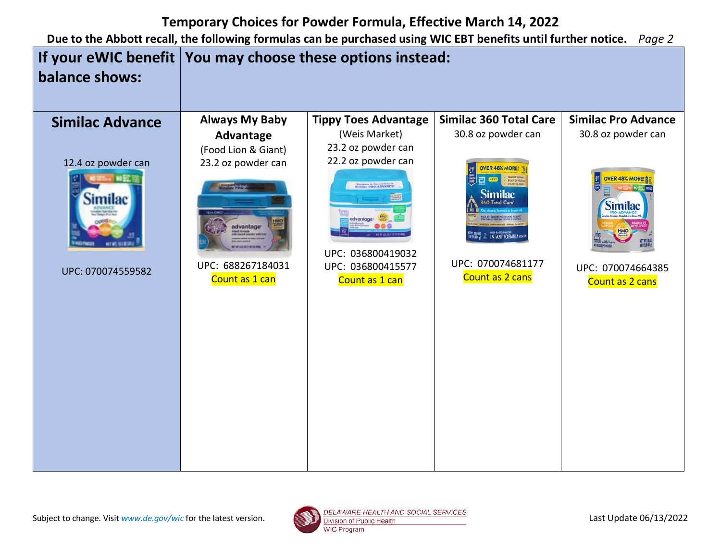

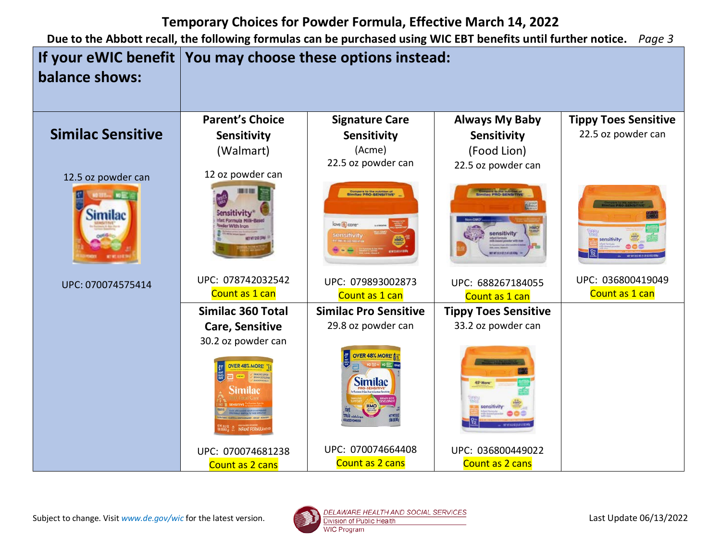

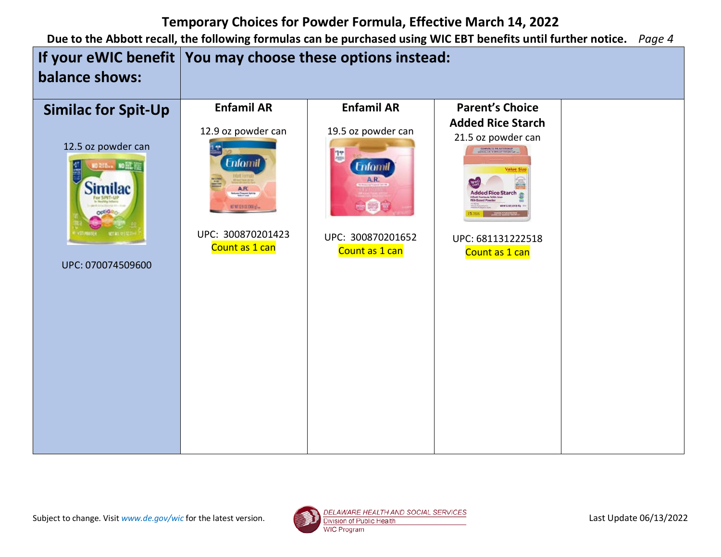

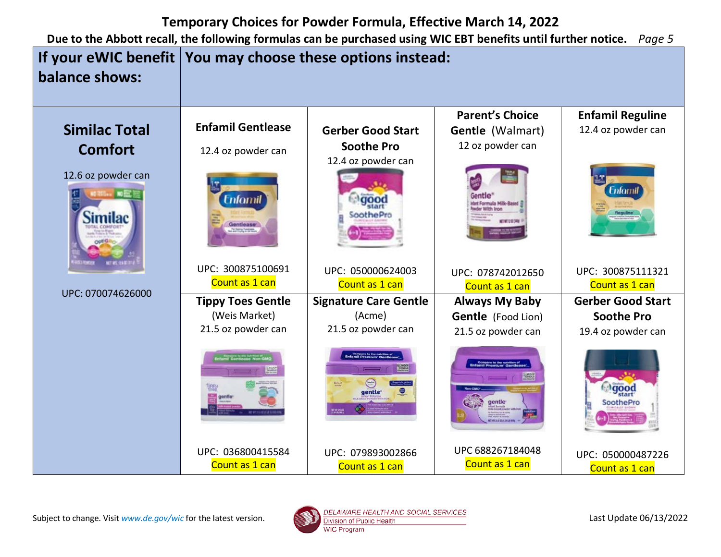

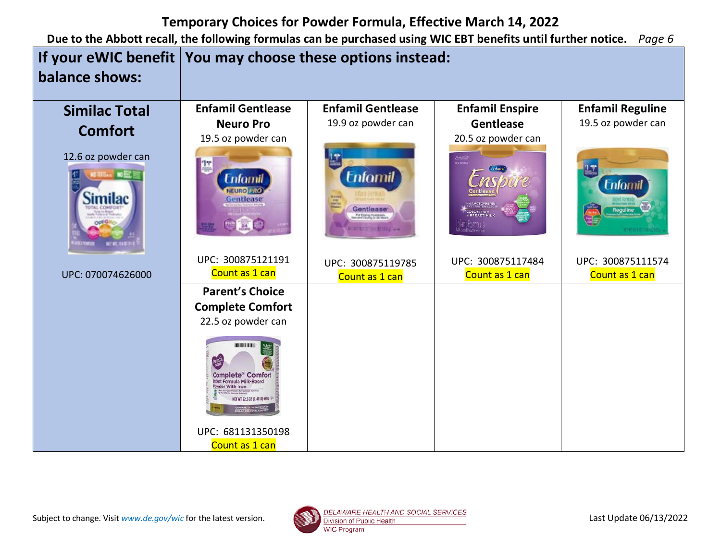|                                         | If your eWIC benefit   You may choose these options instead:                                                                     |                                                                                                                                  |                                     |                                     |
|-----------------------------------------|----------------------------------------------------------------------------------------------------------------------------------|----------------------------------------------------------------------------------------------------------------------------------|-------------------------------------|-------------------------------------|
| balance shows:                          |                                                                                                                                  |                                                                                                                                  |                                     |                                     |
| <b>Similac Total</b>                    | <b>Enfamil Gentlease</b>                                                                                                         | <b>Enfamil Gentlease</b>                                                                                                         | <b>Enfamil Enspire</b>              | <b>Enfamil Reguline</b>             |
|                                         | <b>Neuro Pro</b>                                                                                                                 | 19.9 oz powder can                                                                                                               | Gentlease                           | 19.5 oz powder can                  |
| <b>Comfort</b>                          | 19.5 oz powder can                                                                                                               |                                                                                                                                  | 20.5 oz powder can                  |                                     |
| 12.6 oz powder can<br><b>BIG. NORTH</b> | Enfornil<br>EURO PRO<br>Gentlease                                                                                                | <b>Enfornil</b><br>Gentlease <sup>®</sup><br>For Electric Punchases<br>would Crystop at 38 Million<br><b>WEILT BATHFIELD</b> and | COLOSTRUM<br>8 BREAST MIL           | <b>Enfomil</b>                      |
| UPC: 070074626000                       | UPC: 300875121191<br>Count as 1 can                                                                                              | UPC: 300875119785                                                                                                                | UPC: 300875117484<br>Count as 1 can | UPC: 300875111574<br>Count as 1 can |
|                                         | <b>Parent's Choice</b>                                                                                                           | Count as 1 can                                                                                                                   |                                     |                                     |
|                                         | <b>Complete Comfort</b>                                                                                                          |                                                                                                                                  |                                     |                                     |
|                                         | 22.5 oz powder can                                                                                                               |                                                                                                                                  |                                     |                                     |
|                                         | <b>BOTTETE IN 1831</b><br><b>Complete* Comfort</b><br>Ifant Formula Milk-Based<br>owder With Iron<br>ET WT 22.5 OZ (1.41 LB) 638 |                                                                                                                                  |                                     |                                     |
|                                         | UPC: 681131350198<br>Count as 1 can                                                                                              |                                                                                                                                  |                                     |                                     |

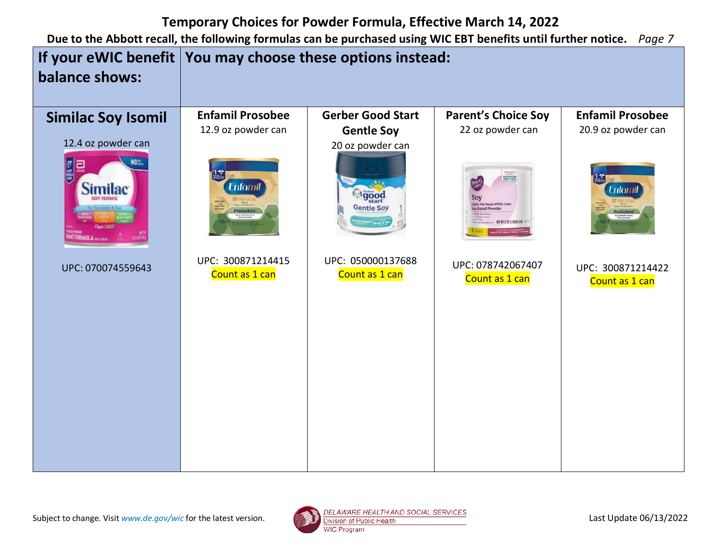

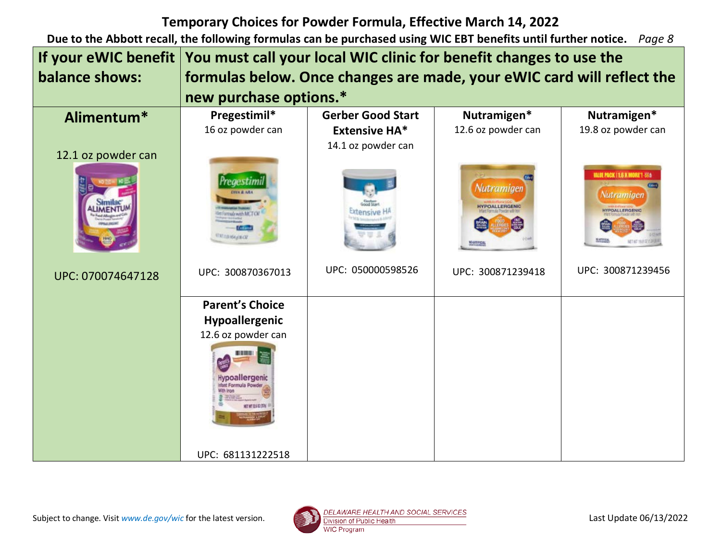| If your eWIC benefit | You must call your local WIC clinic for benefit changes to use the     |                          |                                                   |                                                                                            |
|----------------------|------------------------------------------------------------------------|--------------------------|---------------------------------------------------|--------------------------------------------------------------------------------------------|
| balance shows:       | formulas below. Once changes are made, your eWIC card will reflect the |                          |                                                   |                                                                                            |
|                      | new purchase options.*                                                 |                          |                                                   |                                                                                            |
| Alimentum*           | Pregestimil*                                                           | <b>Gerber Good Start</b> | Nutramigen*                                       | Nutramigen*                                                                                |
|                      | 16 oz powder can                                                       | <b>Extensive HA*</b>     | 12.6 oz powder can                                | 19.8 oz powder can                                                                         |
| 12.1 oz powder can   |                                                                        | 14.1 oz powder can       |                                                   |                                                                                            |
|                      |                                                                        |                          |                                                   |                                                                                            |
|                      | edestimi<br>reads with MCTOK<br><b>MILLIGANIE CH</b>                   |                          | Nutramigen<br><b>HYPOALLERGENIC</b><br>MOARTHEICH | <b>WALDE PACK   1.6 X MORE ! 356</b><br>Nutramigen<br><b>HYPOALLERGENIC</b><br>æ<br>細室 经提供 |
| UPC: 070074647128    | UPC: 300870367013                                                      | UPC: 050000598526        | UPC: 300871239418                                 | UPC: 300871239456                                                                          |
|                      | <b>Parent's Choice</b>                                                 |                          |                                                   |                                                                                            |
|                      | Hypoallergenic                                                         |                          |                                                   |                                                                                            |
|                      | 12.6 oz powder can                                                     |                          |                                                   |                                                                                            |
|                      | Hypoallergenic<br>that Formula Powd                                    |                          |                                                   |                                                                                            |
|                      | UPC: 681131222518                                                      |                          |                                                   |                                                                                            |

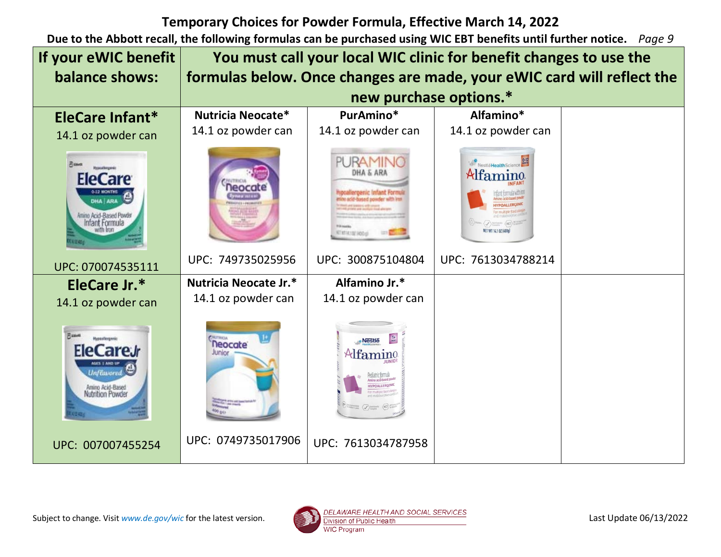| If your eWIC benefit                                                                                                            | You must call your local WIC clinic for benefit changes to use the     |                                                                                             |                                 |  |
|---------------------------------------------------------------------------------------------------------------------------------|------------------------------------------------------------------------|---------------------------------------------------------------------------------------------|---------------------------------|--|
| balance shows:                                                                                                                  | formulas below. Once changes are made, your eWIC card will reflect the |                                                                                             |                                 |  |
|                                                                                                                                 | new purchase options.*                                                 |                                                                                             |                                 |  |
| EleCare Infant*                                                                                                                 | Nutricia Neocate*                                                      | PurAmino*                                                                                   | Alfamino*                       |  |
| 14.1 oz powder can                                                                                                              | 14.1 oz powder can                                                     | 14.1 oz powder can                                                                          | 14.1 oz powder can              |  |
| <b>Pissott</b><br>texcelerence<br><b>EleCare</b><br>DHA ARA<br>Anino Acid-Based Powder<br>Infant Formula                        |                                                                        | PURAMII<br>DHA & ARJ<br><b>ATISTICIAL HODAY</b>                                             | NestleHealthScience<br>Alfamino |  |
| UPC: 070074535111                                                                                                               | UPC: 749735025956                                                      | UPC: 300875104804                                                                           | UPC: 7613034788214              |  |
| EleCare Jr.*                                                                                                                    | Nutricia Neocate Jr.*                                                  | Alfamino Jr.*                                                                               |                                 |  |
| 14.1 oz powder can                                                                                                              | 14.1 oz powder can                                                     | 14.1 oz powder can                                                                          |                                 |  |
| <b>Fund</b><br><b>Hypoxilergenic</b><br>EleCareJr<br>AGES 1 AND UP<br><b>Unflavored</b><br>Amino Acid-Based<br>Nutrition Powder | <b>Neocate</b><br>Junior                                               | ·Nestle<br>$\mathcal{A}$ famino<br><b>IYPOALLERGENIC</b><br><b>Things (J)</b> Suntany (NCT) |                                 |  |
| UPC: 007007455254                                                                                                               | UPC: 0749735017906                                                     | UPC: 7613034787958                                                                          |                                 |  |